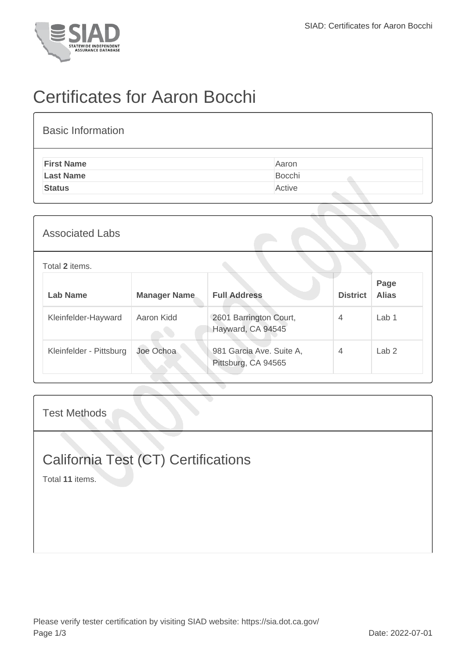

## Certificates for Aaron Bocchi

| <b>Basic Information</b> |        |
|--------------------------|--------|
| <b>First Name</b>        | Aaron  |
| <b>Last Name</b>         | Bocchi |
| <b>Status</b>            | Active |
|                          |        |

| <b>Associated Labs</b>  |                     |                                                 |                 |                      |
|-------------------------|---------------------|-------------------------------------------------|-----------------|----------------------|
| Total 2 items.          |                     |                                                 |                 |                      |
| <b>Lab Name</b>         | <b>Manager Name</b> | <b>Full Address</b>                             | <b>District</b> | Page<br><b>Alias</b> |
| Kleinfelder-Hayward     | Aaron Kidd          | 2601 Barrington Court,<br>Hayward, CA 94545     | $\overline{4}$  | Lab <sub>1</sub>     |
| Kleinfelder - Pittsburg | Joe Ochoa           | 981 Garcia Ave. Suite A,<br>Pittsburg, CA 94565 | $\overline{4}$  | Lab <sub>2</sub>     |

Test Methods

## California Test (CT) Certifications

Total **11** items.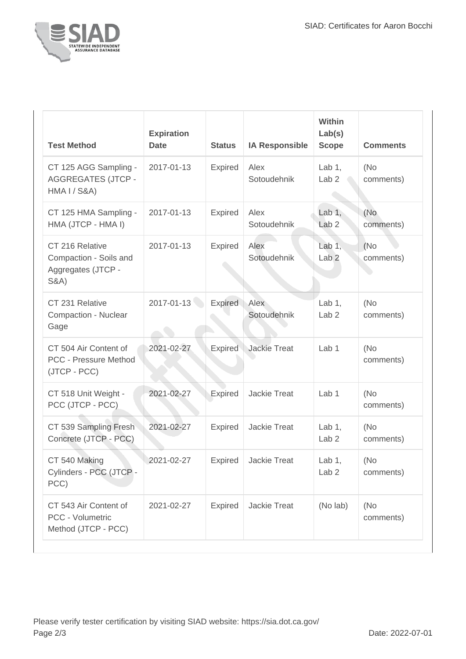

| <b>Test Method</b>                                                                 | <b>Expiration</b><br><b>Date</b> | <b>Status</b>  | <b>IA Responsible</b> | <b>Within</b><br>Lab(s)<br><b>Scope</b> | <b>Comments</b>   |
|------------------------------------------------------------------------------------|----------------------------------|----------------|-----------------------|-----------------------------------------|-------------------|
| CT 125 AGG Sampling -<br><b>AGGREGATES (JTCP -</b><br><b>HMA I / S&amp;A)</b>      | 2017-01-13                       | <b>Expired</b> | Alex<br>Sotoudehnik   | Lab $1$ ,<br>Lab <sub>2</sub>           | (No<br>comments)  |
| CT 125 HMA Sampling -<br>HMA (JTCP - HMA I)                                        | 2017-01-13                       | <b>Expired</b> | Alex<br>Sotoudehnik   | Lab $1,$<br>Lab <sub>2</sub>            | (No<br>comments)  |
| CT 216 Relative<br>Compaction - Soils and<br>Aggregates (JTCP -<br><b>S&amp;A)</b> | 2017-01-13                       | Expired        | Alex<br>Sotoudehnik   | Lab $1$ ,<br>Lab <sub>2</sub>           | (No<br>comments)  |
| CT 231 Relative<br><b>Compaction - Nuclear</b><br>Gage                             | 2017-01-13                       | <b>Expired</b> | Alex<br>Sotoudehnik   | Lab $1$ ,<br>Lab <sub>2</sub>           | (No)<br>comments) |
| CT 504 Air Content of<br><b>PCC - Pressure Method</b><br>(JTCP - PCC)              | 2021-02-27                       | <b>Expired</b> | <b>Jackie Treat</b>   | Lab 1                                   | (No)<br>comments) |
| CT 518 Unit Weight -<br>PCC (JTCP - PCC)                                           | 2021-02-27                       | <b>Expired</b> | <b>Jackie Treat</b>   | Lab <sub>1</sub>                        | (No<br>comments)  |
| CT 539 Sampling Fresh<br>Concrete (JTCP - PCC)                                     | 2021-02-27                       | Expired        | Jackie Treat          | Lab $1$ ,<br>Lab <sub>2</sub>           | (No)<br>comments) |
| CT 540 Making<br>Cylinders - PCC (JTCP -<br>PCC)                                   | 2021-02-27                       | Expired        | Jackie Treat          | Lab $1,$<br>Lab <sub>2</sub>            | (No<br>comments)  |
| CT 543 Air Content of<br>PCC - Volumetric<br>Method (JTCP - PCC)                   | 2021-02-27                       | <b>Expired</b> | Jackie Treat          | (No lab)                                | (No<br>comments)  |